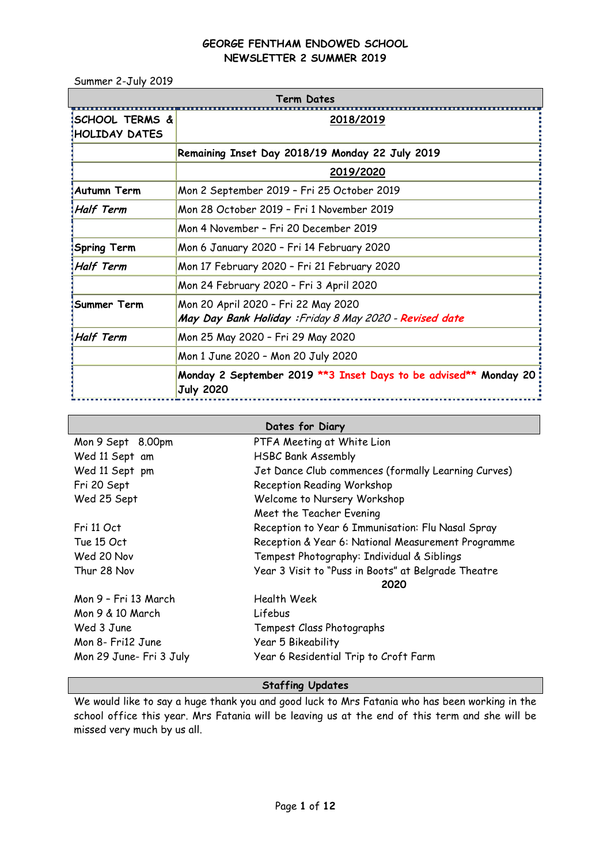Summer 2-July 2019

| Term Dates                                         |                                                                                               |  |  |  |
|----------------------------------------------------|-----------------------------------------------------------------------------------------------|--|--|--|
| <b>ISCHOOL TERMS &amp;</b><br><b>HOLIDAY DATES</b> | 2018/2019                                                                                     |  |  |  |
|                                                    | Remaining Inset Day 2018/19 Monday 22 July 2019                                               |  |  |  |
|                                                    | 2019/2020                                                                                     |  |  |  |
| ‡Autumn Term                                       | Mon 2 September 2019 - Fri 25 October 2019                                                    |  |  |  |
| <b>Half Term</b>                                   | Mon 28 October 2019 - Fri 1 November 2019                                                     |  |  |  |
|                                                    | Mon 4 November - Fri 20 December 2019                                                         |  |  |  |
| Spring Term                                        | Mon 6 January 2020 - Fri 14 February 2020                                                     |  |  |  |
| Half Term!                                         | Mon 17 February 2020 - Fri 21 February 2020                                                   |  |  |  |
|                                                    | Mon 24 February 2020 - Fri 3 April 2020                                                       |  |  |  |
| Summer Term                                        | Mon 20 April 2020 - Fri 22 May 2020<br>May Day Bank Holiday: Friday 8 May 2020 - Revised date |  |  |  |
| Half Term!                                         | Mon 25 May 2020 - Fri 29 May 2020                                                             |  |  |  |
|                                                    | Mon 1 June 2020 - Mon 20 July 2020                                                            |  |  |  |
|                                                    | Monday 2 September 2019 **3 Inset Days to be advised** Monday 20<br><b>July 2020</b>          |  |  |  |

| Dates for Diary         |                                                     |  |  |
|-------------------------|-----------------------------------------------------|--|--|
| Mon 9 Sept 8.00pm       | PTFA Meeting at White Lion                          |  |  |
| Wed 11 Sept am          | <b>HSBC Bank Assembly</b>                           |  |  |
| Wed 11 Sept pm          | Jet Dance Club commences (formally Learning Curves) |  |  |
| Fri 20 Sept             | Reception Reading Workshop                          |  |  |
| Wed 25 Sept             | Welcome to Nursery Workshop                         |  |  |
|                         | Meet the Teacher Evening                            |  |  |
| Fri 11 Oct              | Reception to Year 6 Immunisation: Flu Nasal Spray   |  |  |
| Tue 15 Oct              | Reception & Year 6: National Measurement Programme  |  |  |
| Wed 20 Nov              | Tempest Photography: Individual & Siblings          |  |  |
| Thur 28 Nov             | Year 3 Visit to "Puss in Boots" at Belgrade Theatre |  |  |
|                         | 2020                                                |  |  |
| Mon 9 – Fri 13 March    | Health Week                                         |  |  |
| Mon 9 & 10 March        | Lifebus                                             |  |  |
| Wed 3 June              | Tempest Class Photographs                           |  |  |
| Mon 8- Fri12 June       | Year 5 Bikeability                                  |  |  |
| Mon 29 June- Fri 3 July | Year 6 Residential Trip to Croft Farm               |  |  |

# **Staffing Updates**

We would like to say a huge thank you and good luck to Mrs Fatania who has been working in the school office this year. Mrs Fatania will be leaving us at the end of this term and she will be missed very much by us all.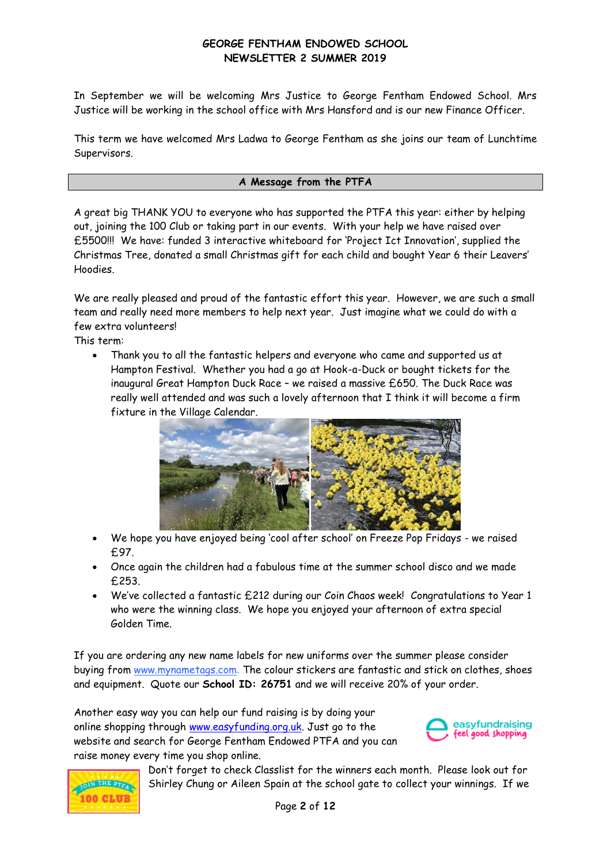In September we will be welcoming Mrs Justice to George Fentham Endowed School. Mrs Justice will be working in the school office with Mrs Hansford and is our new Finance Officer.

This term we have welcomed Mrs Ladwa to George Fentham as she joins our team of Lunchtime Supervisors.

# **A Message from the PTFA**

A great big THANK YOU to everyone who has supported the PTFA this year: either by helping out, joining the 100 Club or taking part in our events. With your help we have raised over £5500!!! We have: funded 3 interactive whiteboard for 'Project Ict Innovation', supplied the Christmas Tree, donated a small Christmas gift for each child and bought Year 6 their Leavers' Hoodies.

We are really pleased and proud of the fantastic effort this year. However, we are such a small team and really need more members to help next year. Just imagine what we could do with a few extra volunteers!

This term:

 Thank you to all the fantastic helpers and everyone who came and supported us at Hampton Festival. Whether you had a go at Hook-a-Duck or bought tickets for the inaugural Great Hampton Duck Race – we raised a massive £650. The Duck Race was really well attended and was such a lovely afternoon that I think it will become a firm fixture in the Village Calendar.



- We hope you have enjoyed being 'cool after school' on Freeze Pop Fridays we raised £97.
- Once again the children had a fabulous time at the summer school disco and we made £253.
- We've collected a fantastic £212 during our Coin Chaos week! Congratulations to Year 1 who were the winning class. We hope you enjoyed your afternoon of extra special Golden Time.

If you are ordering any new name labels for new uniforms over the summer please consider buying from [www.mynametags.com](http://www.mynametags.com/). The colour stickers are fantastic and stick on clothes, shoes and equipment. Quote our **School ID: 26751** and we will receive 20% of your order.

Another easy way you can help our fund raising is by doing your online shopping through [www.easyfunding.org.uk.](http://www.easyfunding.org.uk/) Just go to the website and search for George Fentham Endowed PTFA and you can raise money every time you shop online.





Don't forget to check Classlist for the winners each month. Please look out for Shirley Chung or Aileen Spain at the school gate to collect your winnings. If we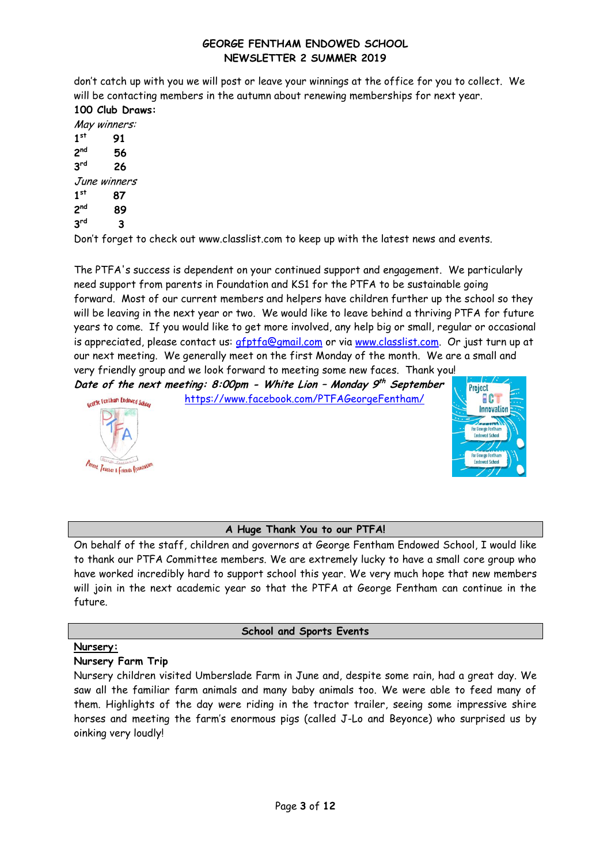don't catch up with you we will post or leave your winnings at the office for you to collect. We will be contacting members in the autumn about renewing memberships for next year. **100 Club Draws:**

May winners: **1 st 91 2 nd 56 3 rd 26**  June winners **1 st 87 2 nd 89 3 rd 3**

Don't forget to check out www.classlist.com to keep up with the latest news and events.

The PTFA's success is dependent on your continued support and engagement. We particularly need support from parents in Foundation and KS1 for the PTFA to be sustainable going forward. Most of our current members and helpers have children further up the school so they will be leaving in the next year or two. We would like to leave behind a thriving PTFA for future years to come. If you would like to get more involved, any help big or small, regular or occasional is appreciated, please contact us:  $q$ fptfa@gmail.com or via [www.classlist.com.](http://www.classlist.com/) Or just turn up at our next meeting. We generally meet on the first Monday of the month. We are a small and very friendly group and we look forward to meeting some new faces. Thank you!

**Date of the next meeting: 8:00pm - White Lion – Monday 9 th September** 





# **A Huge Thank You to our PTFA!**

On behalf of the staff, children and governors at George Fentham Endowed School, I would like to thank our PTFA Committee members. We are extremely lucky to have a small core group who have worked incredibly hard to support school this year. We very much hope that new members will join in the next academic year so that the PTFA at George Fentham can continue in the future.

# **School and Sports Events**

# **Nursery:**

# **Nursery Farm Trip**

Nursery children visited Umberslade Farm in June and, despite some rain, had a great day. We saw all the familiar farm animals and many baby animals too. We were able to feed many of them. Highlights of the day were riding in the tractor trailer, seeing some impressive shire horses and meeting the farm's enormous pigs (called J-Lo and Beyonce) who surprised us by oinking very loudly!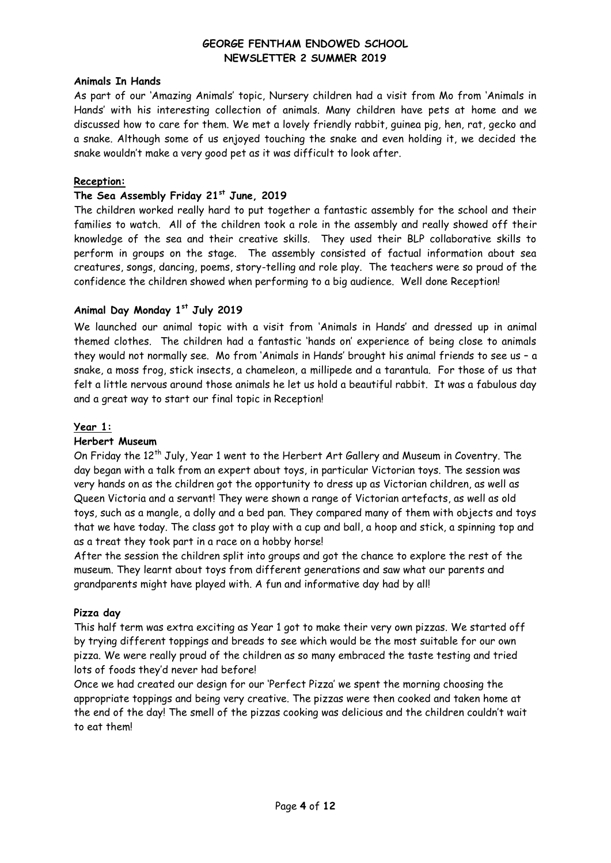#### **Animals In Hands**

As part of our 'Amazing Animals' topic, Nursery children had a visit from Mo from 'Animals in Hands' with his interesting collection of animals. Many children have pets at home and we discussed how to care for them. We met a lovely friendly rabbit, guinea pig, hen, rat, gecko and a snake. Although some of us enjoyed touching the snake and even holding it, we decided the snake wouldn't make a very good pet as it was difficult to look after.

#### **Reception:**

#### **The Sea Assembly Friday 21st June, 2019**

The children worked really hard to put together a fantastic assembly for the school and their families to watch. All of the children took a role in the assembly and really showed off their knowledge of the sea and their creative skills. They used their BLP collaborative skills to perform in groups on the stage. The assembly consisted of factual information about sea creatures, songs, dancing, poems, story-telling and role play. The teachers were so proud of the confidence the children showed when performing to a big audience. Well done Reception!

# **Animal Day Monday 1st July 2019**

We launched our animal topic with a visit from 'Animals in Hands' and dressed up in animal themed clothes. The children had a fantastic 'hands on' experience of being close to animals they would not normally see. Mo from 'Animals in Hands' brought his animal friends to see us – a snake, a moss frog, stick insects, a chameleon, a millipede and a tarantula. For those of us that felt a little nervous around those animals he let us hold a beautiful rabbit. It was a fabulous day and a great way to start our final topic in Reception!

#### **Year 1:**

#### **Herbert Museum**

On Friday the 12<sup>th</sup> July, Year 1 went to the Herbert Art Gallery and Museum in Coventry. The day began with a talk from an expert about toys, in particular Victorian toys. The session was very hands on as the children got the opportunity to dress up as Victorian children, as well as Queen Victoria and a servant! They were shown a range of Victorian artefacts, as well as old toys, such as a mangle, a dolly and a bed pan. They compared many of them with objects and toys that we have today. The class got to play with a cup and ball, a hoop and stick, a spinning top and as a treat they took part in a race on a hobby horse!

After the session the children split into groups and got the chance to explore the rest of the museum. They learnt about toys from different generations and saw what our parents and grandparents might have played with. A fun and informative day had by all!

#### **Pizza day**

This half term was extra exciting as Year 1 got to make their very own pizzas. We started off by trying different toppings and breads to see which would be the most suitable for our own pizza. We were really proud of the children as so many embraced the taste testing and tried lots of foods they'd never had before!

Once we had created our design for our 'Perfect Pizza' we spent the morning choosing the appropriate toppings and being very creative. The pizzas were then cooked and taken home at the end of the day! The smell of the pizzas cooking was delicious and the children couldn't wait to eat them!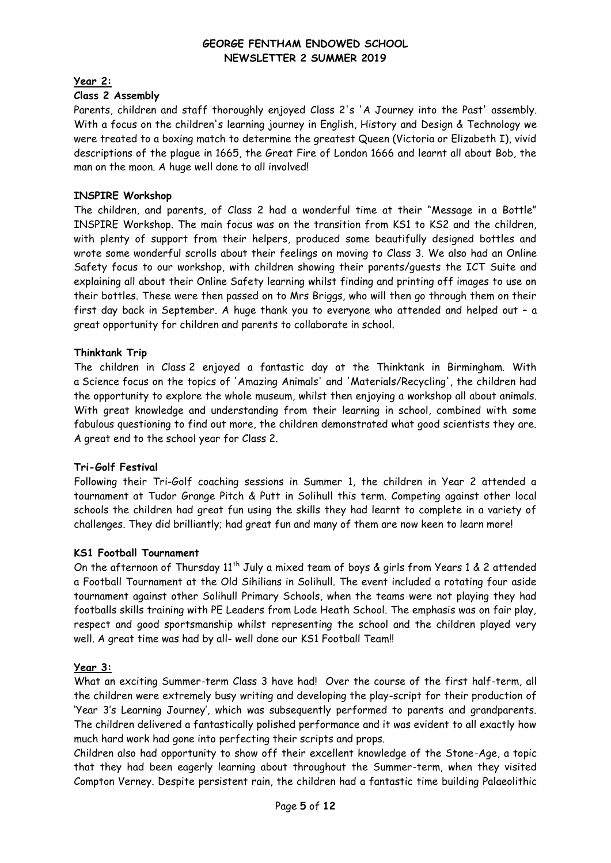# **Year 2:**

# **Class 2 Assembly**

Parents, children and staff thoroughly enjoyed Class 2's 'A Journey into the Past' assembly. With a focus on the children's learning journey in English, History and Design & Technology we were treated to a boxing match to determine the greatest Queen (Victoria or Elizabeth I), vivid descriptions of the plague in 1665, the Great Fire of London 1666 and learnt all about Bob, the man on the moon. A huge well done to all involved!

## **INSPIRE Workshop**

The children, and parents, of Class 2 had a wonderful time at their "Message in a Bottle" INSPIRE Workshop. The main focus was on the transition from KS1 to KS2 and the children, with plenty of support from their helpers, produced some beautifully designed bottles and wrote some wonderful scrolls about their feelings on moving to Class 3. We also had an Online Safety focus to our workshop, with children showing their parents/guests the ICT Suite and explaining all about their Online Safety learning whilst finding and printing off images to use on their bottles. These were then passed on to Mrs Briggs, who will then go through them on their first day back in September. A huge thank you to everyone who attended and helped out – a great opportunity for children and parents to collaborate in school.

#### **Thinktank Trip**

The children in Class 2 enjoyed a fantastic day at the Thinktank in Birmingham. With a Science focus on the topics of 'Amazing Animals' and 'Materials/Recycling', the children had the opportunity to explore the whole museum, whilst then enjoying a workshop all about animals. With great knowledge and understanding from their learning in school, combined with some fabulous questioning to find out more, the children demonstrated what good scientists they are. A great end to the school year for Class 2.

#### **Tri-Golf Festival**

Following their Tri-Golf coaching sessions in Summer 1, the children in Year 2 attended a tournament at Tudor Grange Pitch & Putt in Solihull this term. Competing against other local schools the children had great fun using the skills they had learnt to complete in a variety of challenges. They did brilliantly; had great fun and many of them are now keen to learn more!

#### **KS1 Football Tournament**

On the afternoon of Thursday  $11<sup>th</sup>$  July a mixed team of boys & girls from Years 1 & 2 attended a Football Tournament at the Old Sihilians in Solihull. The event included a rotating four aside tournament against other Solihull Primary Schools, when the teams were not playing they had footballs skills training with PE Leaders from Lode Heath School. The emphasis was on fair play, respect and good sportsmanship whilst representing the school and the children played very well. A great time was had by all- well done our KS1 Football Team!!

# **Year 3:**

What an exciting Summer-term Class 3 have had! Over the course of the first half-term, all the children were extremely busy writing and developing the play-script for their production of 'Year 3's Learning Journey', which was subsequently performed to parents and grandparents. The children delivered a fantastically polished performance and it was evident to all exactly how much hard work had gone into perfecting their scripts and props.

Children also had opportunity to show off their excellent knowledge of the Stone-Age, a topic that they had been eagerly learning about throughout the Summer-term, when they visited Compton Verney. Despite persistent rain, the children had a fantastic time building Palaeolithic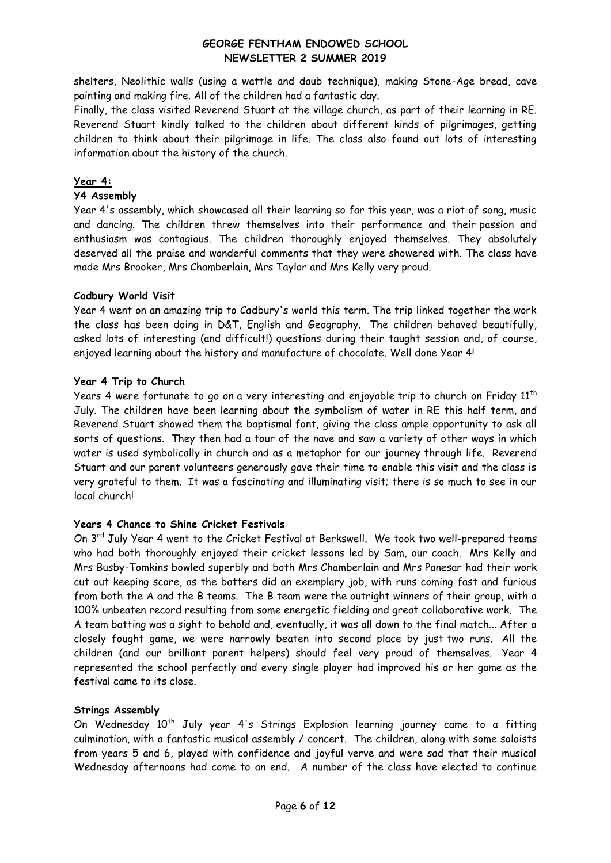shelters, Neolithic walls (using a wattle and daub technique), making Stone-Age bread, cave painting and making fire. All of the children had a fantastic day.

Finally, the class visited Reverend Stuart at the village church, as part of their learning in RE. Reverend Stuart kindly talked to the children about different kinds of pilgrimages, getting children to think about their pilgrimage in life. The class also found out lots of interesting information about the history of the church.

# **Year 4:**

#### **Y4 Assembly**

Year 4's assembly, which showcased all their learning so far this year, was a riot of song, music and dancing. The children threw themselves into their performance and their passion and enthusiasm was contagious. The children thoroughly enjoyed themselves. They absolutely deserved all the praise and wonderful comments that they were showered with. The class have made Mrs Brooker, Mrs Chamberlain, Mrs Taylor and Mrs Kelly very proud.

# **Cadbury World Visit**

Year 4 went on an amazing trip to Cadbury's world this term. The trip linked together the work the class has been doing in D&T, English and Geography. The children behaved beautifully, asked lots of interesting (and difficult!) questions during their taught session and, of course, enjoyed learning about the history and manufacture of chocolate. Well done Year 4!

# **Year 4 Trip to Church**

Years 4 were fortunate to go on a very interesting and enjoyable trip to church on Friday  $11<sup>th</sup>$ July. The children have been learning about the symbolism of water in RE this half term, and Reverend Stuart showed them the baptismal font, giving the class ample opportunity to ask all sorts of questions. They then had a tour of the nave and saw a variety of other ways in which water is used symbolically in church and as a metaphor for our journey through life. Reverend Stuart and our parent volunteers generously gave their time to enable this visit and the class is very grateful to them. It was a fascinating and illuminating visit; there is so much to see in our local church!

# **Years 4 Chance to Shine Cricket Festivals**

On 3<sup>rd</sup> July Year 4 went to the Cricket Festival at Berkswell. We took two well-prepared teams who had both thoroughly enjoyed their cricket lessons led by Sam, our coach. Mrs Kelly and Mrs Busby-Tomkins bowled superbly and both Mrs Chamberlain and Mrs Panesar had their work cut out keeping score, as the batters did an exemplary job, with runs coming fast and furious from both the A and the B teams. The B team were the outright winners of their group, with a 100% unbeaten record resulting from some energetic fielding and great collaborative work. The A team batting was a sight to behold and, eventually, it was all down to the final match... After a closely fought game, we were narrowly beaten into second place by just two runs. All the children (and our brilliant parent helpers) should feel very proud of themselves. Year 4 represented the school perfectly and every single player had improved his or her game as the festival came to its close.

# **Strings Assembly**

On Wednesday 10<sup>th</sup> July year 4's Strings Explosion learning journey came to a fitting culmination, with a fantastic musical assembly / concert. The children, along with some soloists from years 5 and 6, played with confidence and joyful verve and were sad that their musical Wednesday afternoons had come to an end. A number of the class have elected to continue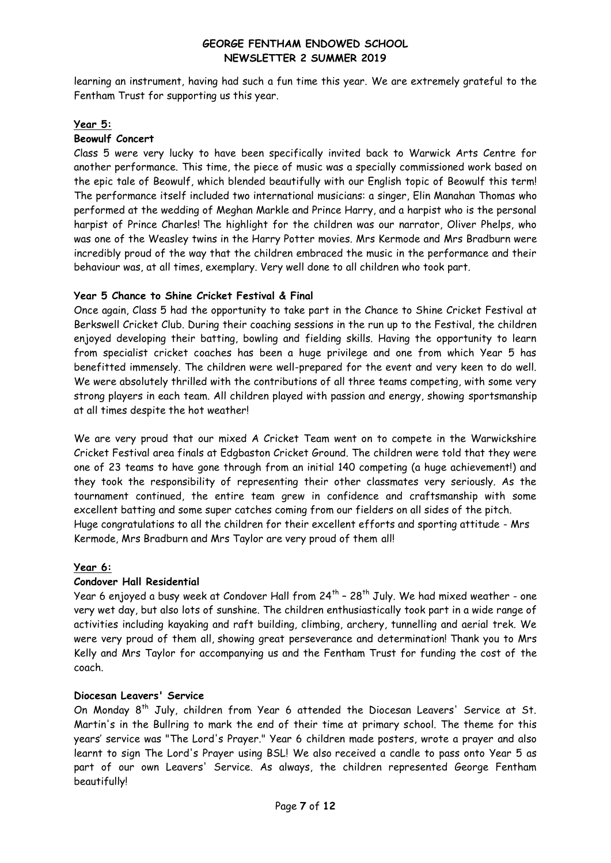learning an instrument, having had such a fun time this year. We are extremely grateful to the Fentham Trust for supporting us this year.

#### **Year 5:**

#### **Beowulf Concert**

Class 5 were very lucky to have been specifically invited back to Warwick Arts Centre for another performance. This time, the piece of music was a specially commissioned work based on the epic tale of Beowulf, which blended beautifully with our English topic of Beowulf this term! The performance itself included two international musicians: a singer, Elin Manahan Thomas who performed at the wedding of Meghan Markle and Prince Harry, and a harpist who is the personal harpist of Prince Charles! The highlight for the children was our narrator, Oliver Phelps, who was one of the Weasley twins in the Harry Potter movies. Mrs Kermode and Mrs Bradburn were incredibly proud of the way that the children embraced the music in the performance and their behaviour was, at all times, exemplary. Very well done to all children who took part.

# **Year 5 Chance to Shine Cricket Festival & Final**

Once again, Class 5 had the opportunity to take part in the Chance to Shine Cricket Festival at Berkswell Cricket Club. During their coaching sessions in the run up to the Festival, the children enjoyed developing their batting, bowling and fielding skills. Having the opportunity to learn from specialist cricket coaches has been a huge privilege and one from which Year 5 has benefitted immensely. The children were well-prepared for the event and very keen to do well. We were absolutely thrilled with the contributions of all three teams competing, with some very strong players in each team. All children played with passion and energy, showing sportsmanship at all times despite the hot weather!

We are very proud that our mixed A Cricket Team went on to compete in the Warwickshire Cricket Festival area finals at Edgbaston Cricket Ground. The children were told that they were one of 23 teams to have gone through from an initial 140 competing (a huge achievement!) and they took the responsibility of representing their other classmates very seriously. As the tournament continued, the entire team grew in confidence and craftsmanship with some excellent batting and some super catches coming from our fielders on all sides of the pitch. Huge congratulations to all the children for their excellent efforts and sporting attitude - Mrs Kermode, Mrs Bradburn and Mrs Taylor are very proud of them all!

#### **Year 6:**

# **Condover Hall Residential**

Year 6 enjoyed a busy week at Condover Hall from 24<sup>th</sup> - 28<sup>th</sup> July. We had mixed weather - one very wet day, but also lots of sunshine. The children enthusiastically took part in a wide range of activities including kayaking and raft building, climbing, archery, tunnelling and aerial trek. We were very proud of them all, showing great perseverance and determination! Thank you to Mrs Kelly and Mrs Taylor for accompanying us and the Fentham Trust for funding the cost of the coach.

#### **Diocesan Leavers' Service**

On Monday 8<sup>th</sup> July, children from Year 6 attended the Diocesan Leavers' Service at St. Martin's in the Bullring to mark the end of their time at primary school. The theme for this years' service was "The Lord's Prayer." Year 6 children made posters, wrote a prayer and also learnt to sign The Lord's Prayer using BSL! We also received a candle to pass onto Year 5 as part of our own Leavers' Service. As always, the children represented George Fentham beautifully!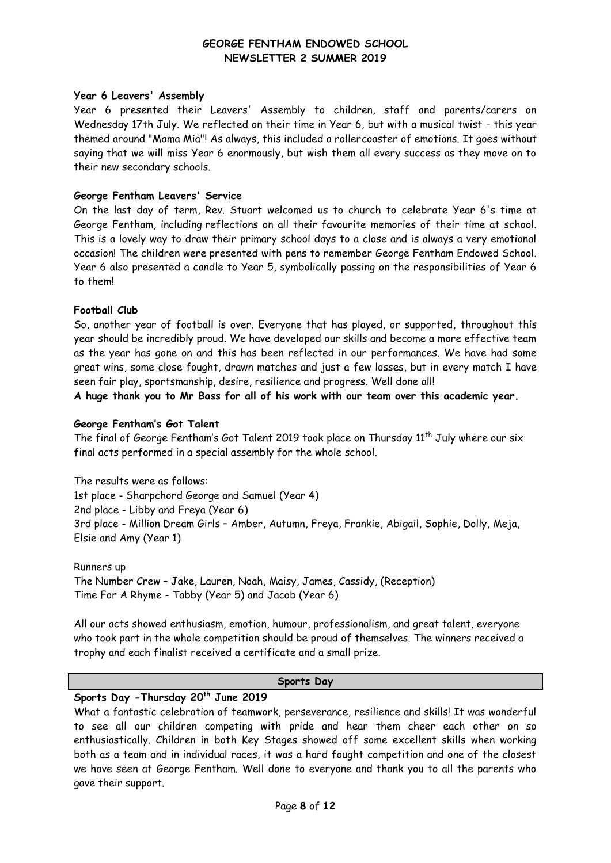#### **Year 6 Leavers' Assembly**

Year 6 presented their Leavers' Assembly to children, staff and parents/carers on Wednesday 17th July. We reflected on their time in Year 6, but with a musical twist - this year themed around "Mama Mia"! As always, this included a rollercoaster of emotions. It goes without saying that we will miss Year 6 enormously, but wish them all every success as they move on to their new secondary schools.

#### **George Fentham Leavers' Service**

On the last day of term, Rev. Stuart welcomed us to church to celebrate Year 6's time at George Fentham, including reflections on all their favourite memories of their time at school. This is a lovely way to draw their primary school days to a close and is always a very emotional occasion! The children were presented with pens to remember George Fentham Endowed School. Year 6 also presented a candle to Year 5, symbolically passing on the responsibilities of Year 6 to them!

#### **Football Club**

So, another year of football is over. Everyone that has played, or supported, throughout this year should be incredibly proud. We have developed our skills and become a more effective team as the year has gone on and this has been reflected in our performances. We have had some great wins, some close fought, drawn matches and just a few losses, but in every match I have seen fair play, sportsmanship, desire, resilience and progress. Well done all!

**A huge thank you to Mr Bass for all of his work with our team over this academic year.** 

#### **George Fentham's Got Talent**

The final of George Fentham's Got Talent 2019 took place on Thursday  $11<sup>th</sup>$  July where our six final acts performed in a special assembly for the whole school.

The results were as follows: 1st place - Sharpchord George and Samuel (Year 4) 2nd place - Libby and Freya (Year 6) 3rd place - Million Dream Girls – Amber, Autumn, Freya, Frankie, Abigail, Sophie, Dolly, Meja, Elsie and Amy (Year 1)

Runners up The Number Crew – Jake, Lauren, Noah, Maisy, James, Cassidy, (Reception) Time For A Rhyme - Tabby (Year 5) and Jacob (Year 6)

All our acts showed enthusiasm, emotion, humour, professionalism, and great talent, everyone who took part in the whole competition should be proud of themselves. The winners received a trophy and each finalist received a certificate and a small prize.

#### **Sports Day**

# **Sports Day -Thursday 20th June 2019**

What a fantastic celebration of teamwork, perseverance, resilience and skills! It was wonderful to see all our children competing with pride and hear them cheer each other on so enthusiastically. Children in both Key Stages showed off some excellent skills when working both as a team and in individual races, it was a hard fought competition and one of the closest we have seen at George Fentham. Well done to everyone and thank you to all the parents who gave their support.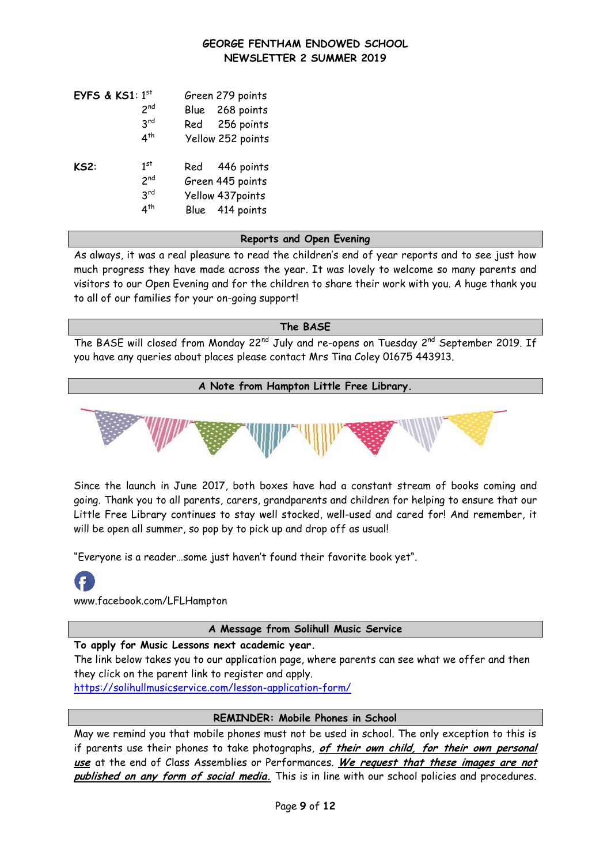| EYFS & KS1: $1st$ |                 | Green 279 points  |
|-------------------|-----------------|-------------------|
|                   | 2 <sub>nd</sub> | Blue 268 points   |
|                   | 3 <sup>rd</sup> | Red 256 points    |
|                   | 4 <sup>th</sup> | Yellow 252 points |
|                   |                 |                   |
| KS2:              | 1 <sup>st</sup> | Red 446 points    |
|                   | 2 <sup>nd</sup> | Green 445 points  |
|                   | 3 <sup>rd</sup> | Yellow 437points  |
|                   | $4^{\text{th}}$ | Blue 414 points   |

#### **Reports and Open Evening**

As always, it was a real pleasure to read the children's end of year reports and to see just how much progress they have made across the year. It was lovely to welcome so many parents and visitors to our Open Evening and for the children to share their work with you. A huge thank you to all of our families for your on-going support!

#### **The BASE**

The BASE will closed from Monday 22<sup>nd</sup> July and re-opens on Tuesday 2<sup>nd</sup> September 2019. If you have any queries about places please contact Mrs Tina Coley 01675 443913.

#### **A Note from Hampton Little Free Library.**



Since the launch in June 2017, both boxes have had a constant stream of books coming and going. Thank you to all parents, carers, grandparents and children for helping to ensure that our Little Free Library continues to stay well stocked, well-used and cared for! And remember, it will be open all summer, so pop by to pick up and drop off as usual!

"Everyone is a reader…some just haven't found their favorite book yet".

www.facebook.com/LFLHampton

#### **A Message from Solihull Music Service**

# **To apply for Music Lessons next academic year.**

The link below takes you to our application page, where parents can see what we offer and then they click on the parent link to register and apply.

[https://solihullmusicservice.com/lesson-application-form/](https://protect-eu.mimecast.com/s/C20dCRlLNtlEjruPO3cD?domain=u9385697.ct.sendgrid.net)

#### **REMINDER: Mobile Phones in School**

May we remind you that mobile phones must not be used in school. The only exception to this is if parents use their phones to take photographs, **of their own child, for their own personal use** at the end of Class Assemblies or Performances. **We request that these images are not published on any form of social media.** This is in line with our school policies and procedures.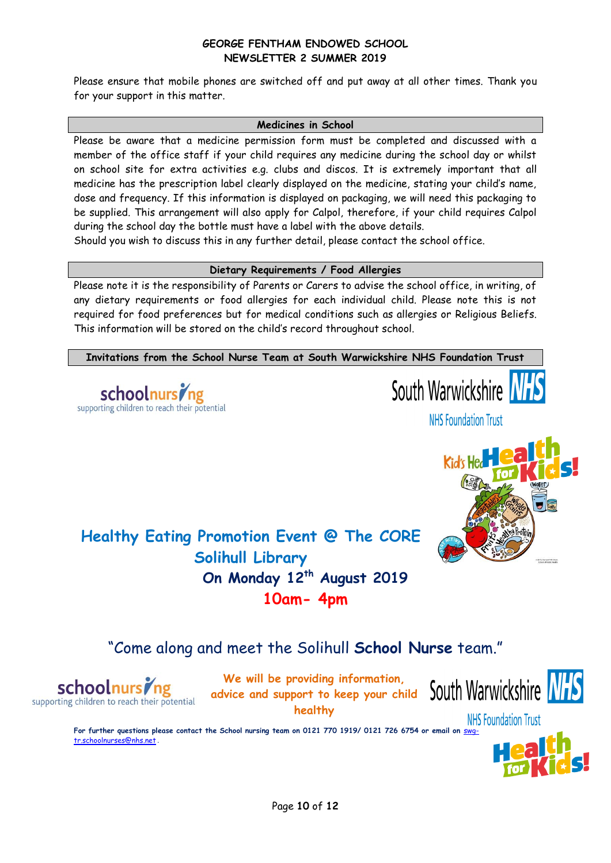Please ensure that mobile phones are switched off and put away at all other times. Thank you for your support in this matter.

#### **Medicines in School**

Please be aware that a medicine permission form must be completed and discussed with a member of the office staff if your child requires any medicine during the school day or whilst on school site for extra activities e.g. clubs and discos. It is extremely important that all medicine has the prescription label clearly displayed on the medicine, stating your child's name, dose and frequency. If this information is displayed on packaging, we will need this packaging to be supplied. This arrangement will also apply for Calpol, therefore, if your child requires Calpol during the school day the bottle must have a label with the above details.

Should you wish to discuss this in any further detail, please contact the school office.

# **Dietary Requirements / Food Allergies**

Please note it is the responsibility of Parents or Carers to advise the school office, in writing, of any dietary requirements or food allergies for each individual child. Please note this is not required for food preferences but for medical conditions such as allergies or Religious Beliefs. This information will be stored on the child's record throughout school.

**Invitations from the School Nurse Team at South Warwickshire NHS Foundation Trust**





**NHS Foundation Trust** 



**Healthy Eating Promotion Event @ The CORE Solihull Library On Monday 12th August 2019 10am- 4pm**

# "Come along and meet the Solihull **School Nurse** team."



**We will be providing information, advice and support to keep your child healthy**



**NHS Foundation Trust For further questions please contact the School nursing team on 0121 770 1919/ 0121 726 6754 or email on** [swg](mailto:swg-tr.schoolnurses@nhs.net)[tr.schoolnurses@nhs.net](mailto:swg-tr.schoolnurses@nhs.net) **.**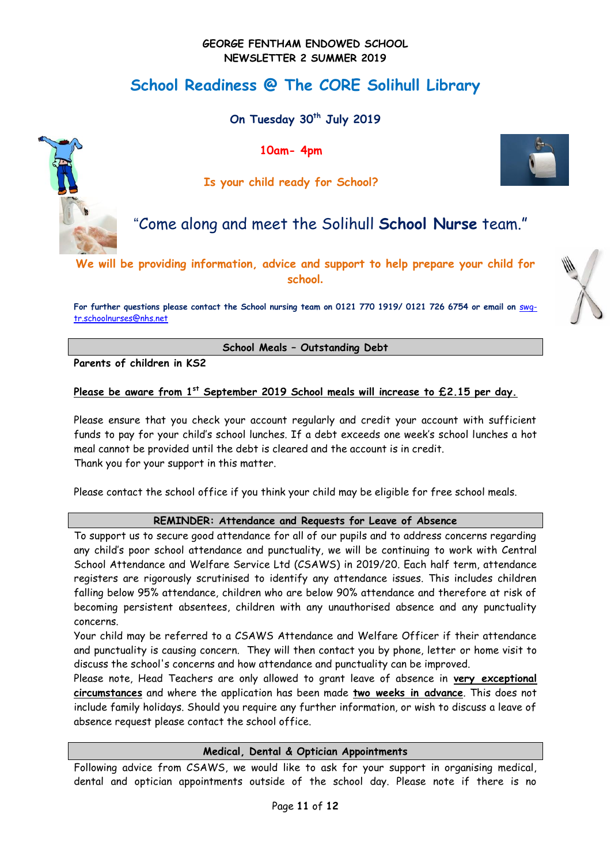# **School Readiness @ The CORE Solihull Library**

**On Tuesday 30th July 2019** 

**10am- 4pm**



# **Is your child ready for School?**

# "Come along and meet the Solihull **School Nurse** team."

**We will be providing information, advice and support to help prepare your child for school.**

For further questions please contact the School nursing team on 0121 770 1919/ 0121 726 6754 or email on **[swg](mailto:swg-tr.schoolnurses@nhs.net)**[tr.schoolnurses@nhs.net](mailto:swg-tr.schoolnurses@nhs.net)

**School Meals – Outstanding Debt**

**Parents of children in KS2**

**Please be aware from 1st September 2019 School meals will increase to £2.15 per day.**

Please ensure that you check your account regularly and credit your account with sufficient funds to pay for your child's school lunches. If a debt exceeds one week's school lunches a hot meal cannot be provided until the debt is cleared and the account is in credit. Thank you for your support in this matter.

Please contact the school office if you think your child may be eligible for free school meals.

#### **REMINDER: Attendance and Requests for Leave of Absence**

To support us to secure good attendance for all of our pupils and to address concerns regarding any child's poor school attendance and punctuality, we will be continuing to work with Central School Attendance and Welfare Service Ltd (CSAWS) in 2019/20. Each half term, attendance registers are rigorously scrutinised to identify any attendance issues. This includes children falling below 95% attendance, children who are below 90% attendance and therefore at risk of becoming persistent absentees, children with any unauthorised absence and any punctuality concerns.

Your child may be referred to a CSAWS Attendance and Welfare Officer if their attendance and punctuality is causing concern. They will then contact you by phone, letter or home visit to discuss the school's concerns and how attendance and punctuality can be improved.

Please note, Head Teachers are only allowed to grant leave of absence in **very exceptional circumstances** and where the application has been made **two weeks in advance**. This does not include family holidays. Should you require any further information, or wish to discuss a leave of absence request please contact the school office.

#### **Medical, Dental & Optician Appointments**

Following advice from CSAWS, we would like to ask for your support in organising medical, dental and optician appointments outside of the school day. Please note if there is no